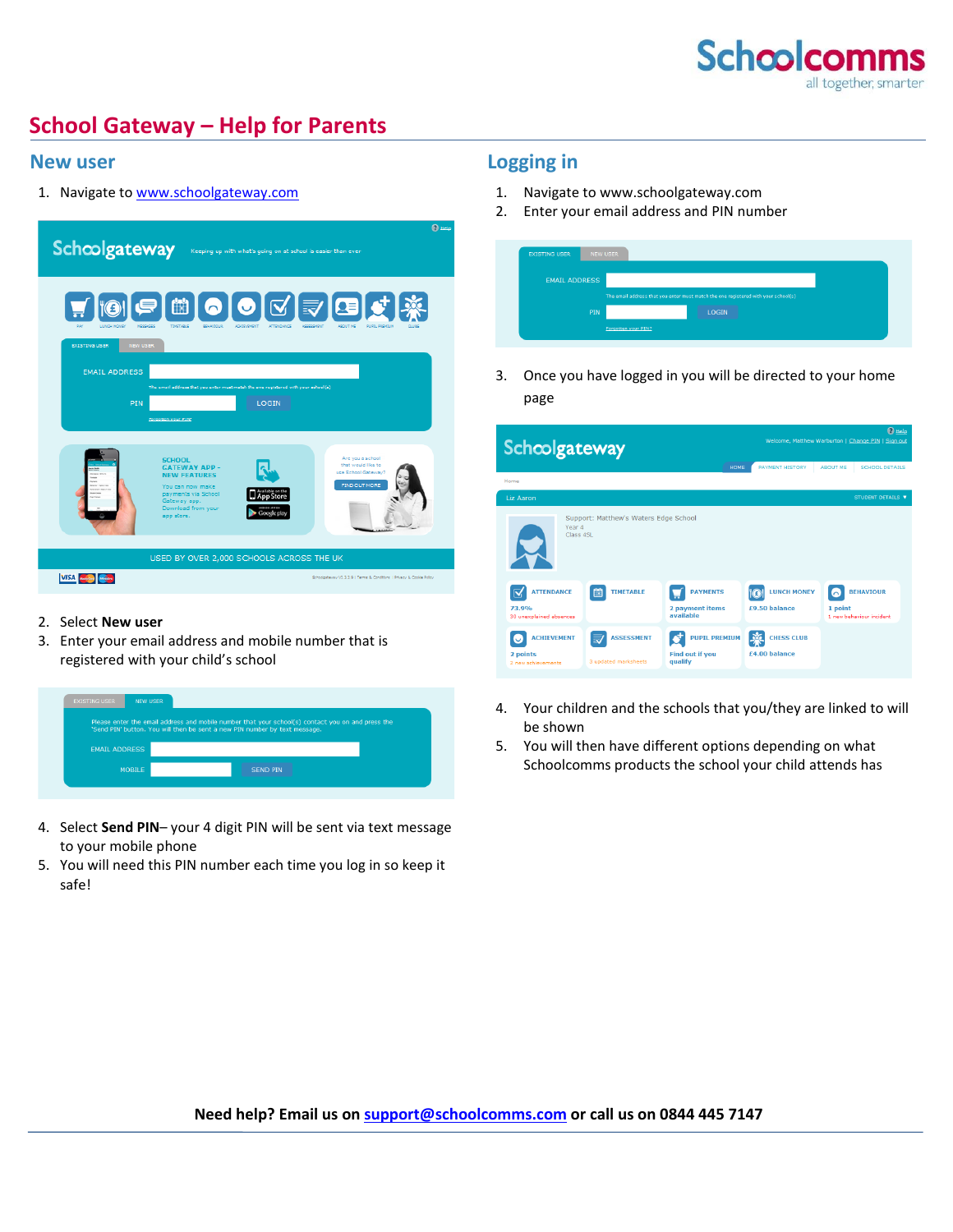

# **School Gateway – Help for Parents**

#### **New user**

1. Navigate t[o www.schoolgateway.com](http://www.schoolgateway.com/)



#### 2. Select **New user**

3. Enter your email address and mobile number that is registered with your child's school



- 4. Select **Send PIN** your 4 digit PIN will be sent via text message to your mobile phone
- 5. You will need this PIN number each time you log in so keep it safe!

### **Logging in**

- 1. Navigate to www.schoolgateway.com
- 2. Enter your email address and PIN number

| <b>EXISTING USER</b>                                                               | NEW USER            |              |  |  |  |
|------------------------------------------------------------------------------------|---------------------|--------------|--|--|--|
| <b>EMAIL ADDRESS</b>                                                               |                     |              |  |  |  |
| The email address that you enter must match the one registered with your school(s) |                     |              |  |  |  |
|                                                                                    | PIN                 | <b>LOGIN</b> |  |  |  |
|                                                                                    | Forgotten your PIN2 |              |  |  |  |

3. Once you have logged in you will be directed to your home page

| Schcolgateway                                         |                                           |                                                           | <b>O</b> Help<br>Welcome, Matthew Warburton   Change PIN   Sign out |                                                                |  |  |
|-------------------------------------------------------|-------------------------------------------|-----------------------------------------------------------|---------------------------------------------------------------------|----------------------------------------------------------------|--|--|
| Home                                                  |                                           | HOME                                                      | <b>PAYMENT HISTORY</b>                                              | <b>ABOUT ME</b><br><b>SCHOOL DETAILS</b>                       |  |  |
| <b>Liz Aaron</b>                                      |                                           |                                                           |                                                                     | STUDENT DETAILS V                                              |  |  |
| Year 4<br>Class 4SL                                   | Support: Matthew's Waters Edge School     |                                                           |                                                                     |                                                                |  |  |
| <b>ATTENDANCE</b><br>73.9%<br>30 unexplained absences | 曲<br><b>TIMETABLE</b>                     | <b>PAYMENTS</b><br>2 payment items<br>available           | <b>LUNCH MONEY</b><br>$\widehat{a}$<br>£9.50 balance                | <b><i>REHAVIOUR</i></b><br>1 point<br>1 new behaviour incident |  |  |
| <b>ACHIEVEMENT</b><br>2 points<br>2 new achievements  | <b>ASSESSMENT</b><br>3 updated marksheets | <b>PUPIL PREMIUM</b><br><b>Find out if you</b><br>qualify | <b>CHESS CLUB</b><br>£4.00 balance                                  |                                                                |  |  |

- 4. Your children and the schools that you/they are linked to will be shown
- 5. You will then have different options depending on what Schoolcomms products the school your child attends has